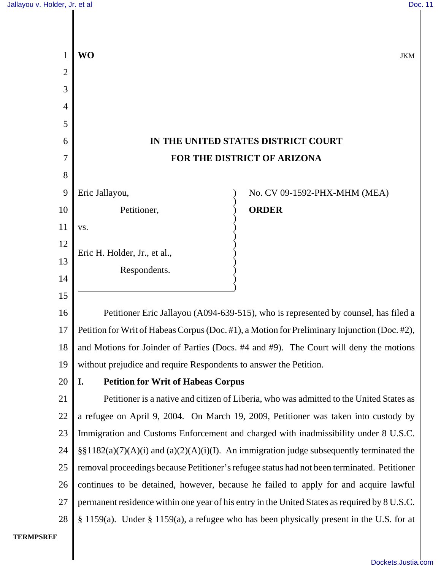

**TERMPSREF**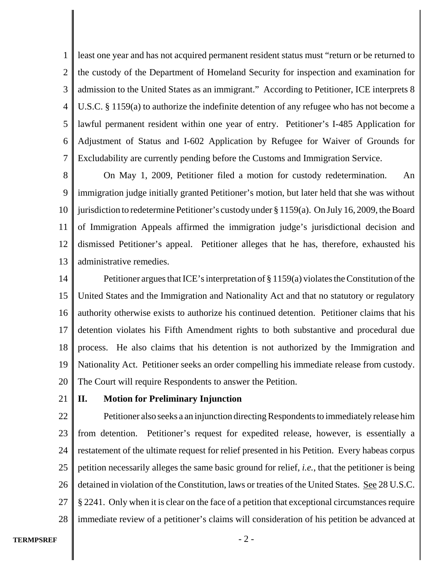1 2 3 4 5 6 7 least one year and has not acquired permanent resident status must "return or be returned to the custody of the Department of Homeland Security for inspection and examination for admission to the United States as an immigrant." According to Petitioner, ICE interprets 8 U.S.C. § 1159(a) to authorize the indefinite detention of any refugee who has not become a lawful permanent resident within one year of entry. Petitioner's I-485 Application for Adjustment of Status and I-602 Application by Refugee for Waiver of Grounds for Excludability are currently pending before the Customs and Immigration Service.

8 9 10 11 12 13 On May 1, 2009, Petitioner filed a motion for custody redetermination. An immigration judge initially granted Petitioner's motion, but later held that she was without jurisdiction to redetermine Petitioner's custody under § 1159(a). On July 16, 2009, the Board of Immigration Appeals affirmed the immigration judge's jurisdictional decision and dismissed Petitioner's appeal. Petitioner alleges that he has, therefore, exhausted his administrative remedies.

14 15 16 17 18 19 20 Petitioner argues that ICE's interpretation of § 1159(a) violates the Constitution of the United States and the Immigration and Nationality Act and that no statutory or regulatory authority otherwise exists to authorize his continued detention. Petitioner claims that his detention violates his Fifth Amendment rights to both substantive and procedural due process. He also claims that his detention is not authorized by the Immigration and Nationality Act. Petitioner seeks an order compelling his immediate release from custody. The Court will require Respondents to answer the Petition.

21

## **II. Motion for Preliminary Injunction**

22 23 24 25 26 27 28 Petitioner also seeks a an injunction directing Respondents to immediately release him from detention. Petitioner's request for expedited release, however, is essentially a restatement of the ultimate request for relief presented in his Petition. Every habeas corpus petition necessarily alleges the same basic ground for relief, *i.e.*, that the petitioner is being detained in violation of the Constitution, laws or treaties of the United States. See 28 U.S.C. § 2241. Only when it is clear on the face of a petition that exceptional circumstances require immediate review of a petitioner's claims will consideration of his petition be advanced at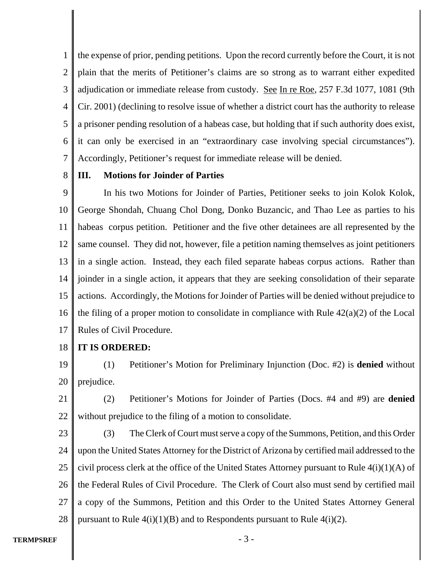1 2 3 4 5 6 7 the expense of prior, pending petitions. Upon the record currently before the Court, it is not plain that the merits of Petitioner's claims are so strong as to warrant either expedited adjudication or immediate release from custody. See In re Roe, 257 F.3d 1077, 1081 (9th Cir. 2001) (declining to resolve issue of whether a district court has the authority to release a prisoner pending resolution of a habeas case, but holding that if such authority does exist, it can only be exercised in an "extraordinary case involving special circumstances"). Accordingly, Petitioner's request for immediate release will be denied.

8

## **III. Motions for Joinder of Parties**

9 10 11 12 13 14 15 16 17 In his two Motions for Joinder of Parties, Petitioner seeks to join Kolok Kolok, George Shondah, Chuang Chol Dong, Donko Buzancic, and Thao Lee as parties to his habeas corpus petition. Petitioner and the five other detainees are all represented by the same counsel. They did not, however, file a petition naming themselves as joint petitioners in a single action. Instead, they each filed separate habeas corpus actions. Rather than joinder in a single action, it appears that they are seeking consolidation of their separate actions. Accordingly, the Motions for Joinder of Parties will be denied without prejudice to the filing of a proper motion to consolidate in compliance with Rule  $42(a)(2)$  of the Local Rules of Civil Procedure.

18 **IT IS ORDERED:**

19 20 (1) Petitioner's Motion for Preliminary Injunction (Doc. #2) is **denied** without prejudice.

21 22 (2) Petitioner's Motions for Joinder of Parties (Docs. #4 and #9) are **denied** without prejudice to the filing of a motion to consolidate.

23

24 25 26 27 28 (3) The Clerk of Court must serve a copy of the Summons, Petition, and this Order upon the United States Attorney for the District of Arizona by certified mail addressed to the civil process clerk at the office of the United States Attorney pursuant to Rule 4(i)(1)(A) of the Federal Rules of Civil Procedure. The Clerk of Court also must send by certified mail a copy of the Summons, Petition and this Order to the United States Attorney General pursuant to Rule  $4(i)(1)(B)$  and to Respondents pursuant to Rule  $4(i)(2)$ .